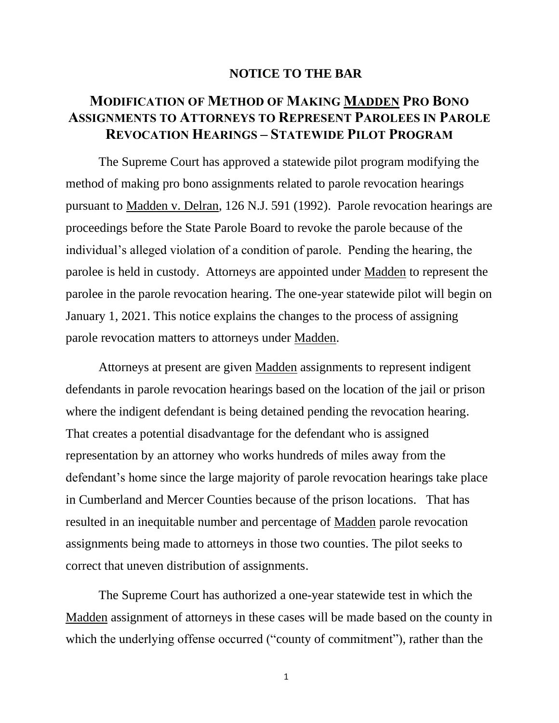## **NOTICE TO THE BAR**

## **MODIFICATION OF METHOD OF MAKING MADDEN PRO BONO ASSIGNMENTS TO ATTORNEYS TO REPRESENT PAROLEES IN PAROLE REVOCATION HEARINGS – STATEWIDE PILOT PROGRAM**

The Supreme Court has approved a statewide pilot program modifying the method of making pro bono assignments related to parole revocation hearings pursuant to Madden v. Delran, 126 N.J. 591 (1992). Parole revocation hearings are proceedings before the State Parole Board to revoke the parole because of the individual's alleged violation of a condition of parole. Pending the hearing, the parolee is held in custody. Attorneys are appointed under Madden to represent the parolee in the parole revocation hearing. The one-year statewide pilot will begin on January 1, 2021. This notice explains the changes to the process of assigning parole revocation matters to attorneys under Madden.

Attorneys at present are given Madden assignments to represent indigent defendants in parole revocation hearings based on the location of the jail or prison where the indigent defendant is being detained pending the revocation hearing. That creates a potential disadvantage for the defendant who is assigned representation by an attorney who works hundreds of miles away from the defendant's home since the large majority of parole revocation hearings take place in Cumberland and Mercer Counties because of the prison locations. That has resulted in an inequitable number and percentage of Madden parole revocation assignments being made to attorneys in those two counties. The pilot seeks to correct that uneven distribution of assignments.

The Supreme Court has authorized a one-year statewide test in which the Madden assignment of attorneys in these cases will be made based on the county in which the underlying offense occurred ("county of commitment"), rather than the

1